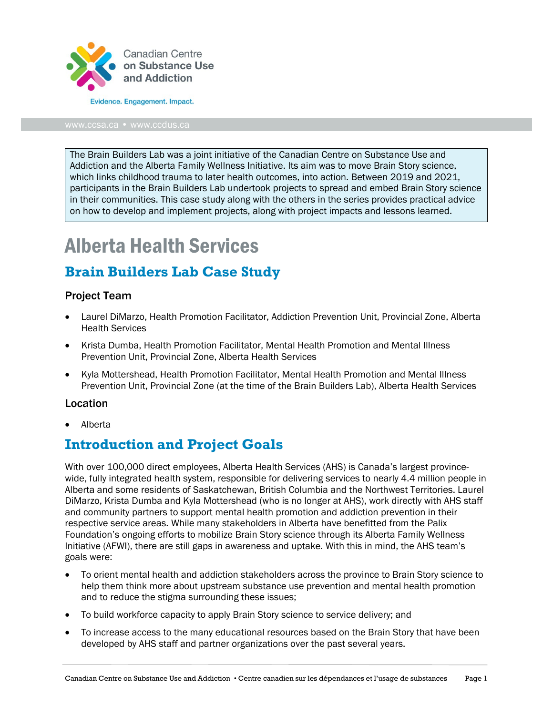

The Brain Builders Lab was a joint initiative of the Canadian Centre on Substance Use and Addiction and the Alberta Family Wellness Initiative. Its aim was to move Brain Story science, which links childhood trauma to later health outcomes, into action. Between 2019 and 2021, participants in the Brain Builders Lab undertook projects to spread and embed Brain Story science in their communities. This case study along with the others in the series provides practical advice on how to develop and implement projects, along with project impacts and lessons learned.

# Alberta Health Services

## **Brain Builders Lab Case Study**

#### Project Team

- Laurel DiMarzo, Health Promotion Facilitator, Addiction Prevention Unit, Provincial Zone, Alberta Health Services
- Krista Dumba, Health Promotion Facilitator, Mental Health Promotion and Mental Illness Prevention Unit, Provincial Zone, Alberta Health Services
- Kyla Mottershead, Health Promotion Facilitator, Mental Health Promotion and Mental Illness Prevention Unit, Provincial Zone (at the time of the Brain Builders Lab), Alberta Health Services

#### Location

• Alberta

### **Introduction and Project Goals**

With over 100,000 direct employees, Alberta Health Services (AHS) is Canada's largest provincewide, fully integrated health system, responsible for delivering services to nearly 4.4 million people in Alberta and some residents of Saskatchewan, British Columbia and the Northwest Territories. Laurel DiMarzo, Krista Dumba and Kyla Mottershead (who is no longer at AHS), work directly with AHS staff and community partners to support mental health promotion and addiction prevention in their respective service areas. While many stakeholders in Alberta have benefitted from the Palix Foundation's ongoing efforts to mobilize Brain Story science through its Alberta Family Wellness Initiative (AFWI), there are still gaps in awareness and uptake. With this in mind, the AHS team's goals were:

- To orient mental health and addiction stakeholders across the province to Brain Story science to help them think more about upstream substance use prevention and mental health promotion and to reduce the stigma surrounding these issues;
- To build workforce capacity to apply Brain Story science to service delivery; and
- To increase access to the many educational resources based on the Brain Story that have been developed by AHS staff and partner organizations over the past several years.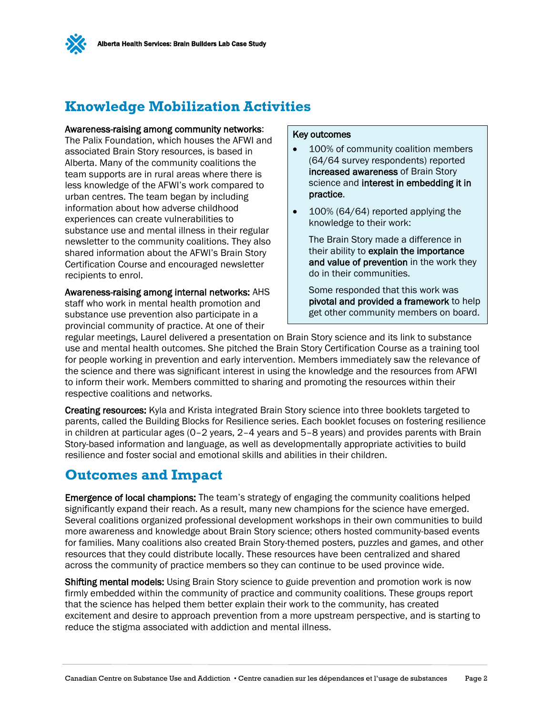

## **Knowledge Mobilization Activities**

#### Awareness-raising among community networks:

The Palix Foundation, which houses the AFWI and associated Brain Story resources, is based in Alberta. Many of the community coalitions the team supports are in rural areas where there is less knowledge of the AFWI's work compared to urban centres. The team began by including information about how adverse childhood experiences can create vulnerabilities to substance use and mental illness in their regular newsletter to the community coalitions. They also shared information about the AFWI's Brain Story Certification Course and encouraged newsletter recipients to enrol.

Awareness-raising among internal networks: AHS staff who work in mental health promotion and substance use prevention also participate in a provincial community of practice. At one of their

#### Key outcomes

- 100% of community coalition members (64/64 survey respondents) reported increased awareness of Brain Story science and interest in embedding it in practice.
- 100% (64/64) reported applying the knowledge to their work:

The Brain Story made a difference in their ability to explain the importance and value of prevention in the work they do in their communities.

Some responded that this work was pivotal and provided a framework to help get other community members on board.

regular meetings, Laurel delivered a presentation on Brain Story science and its link to substance use and mental health outcomes. She pitched the Brain Story Certification Course as a training tool for people working in prevention and early intervention. Members immediately saw the relevance of the science and there was significant interest in using the knowledge and the resources from AFWI to inform their work. Members committed to sharing and promoting the resources within their respective coalitions and networks.

Creating resources: Kyla and Krista integrated Brain Story science into three booklets targeted to parents, called the Building Blocks for Resilience series. Each booklet focuses on fostering resilience in children at particular ages (0–2 years, 2–4 years and 5–8 years) and provides parents with Brain Story-based information and language, as well as developmentally appropriate activities to build resilience and foster social and emotional skills and abilities in their children.

## **Outcomes and Impact**

Emergence of local champions: The team's strategy of engaging the community coalitions helped significantly expand their reach. As a result, many new champions for the science have emerged. Several coalitions organized professional development workshops in their own communities to build more awareness and knowledge about Brain Story science; others hosted community-based events for families. Many coalitions also created Brain Story-themed posters, puzzles and games, and other resources that they could distribute locally. These resources have been centralized and shared across the community of practice members so they can continue to be used province wide.

**Shifting mental models:** Using Brain Story science to guide prevention and promotion work is now firmly embedded within the community of practice and community coalitions. These groups report that the science has helped them better explain their work to the community, has created excitement and desire to approach prevention from a more upstream perspective, and is starting to reduce the stigma associated with addiction and mental illness.